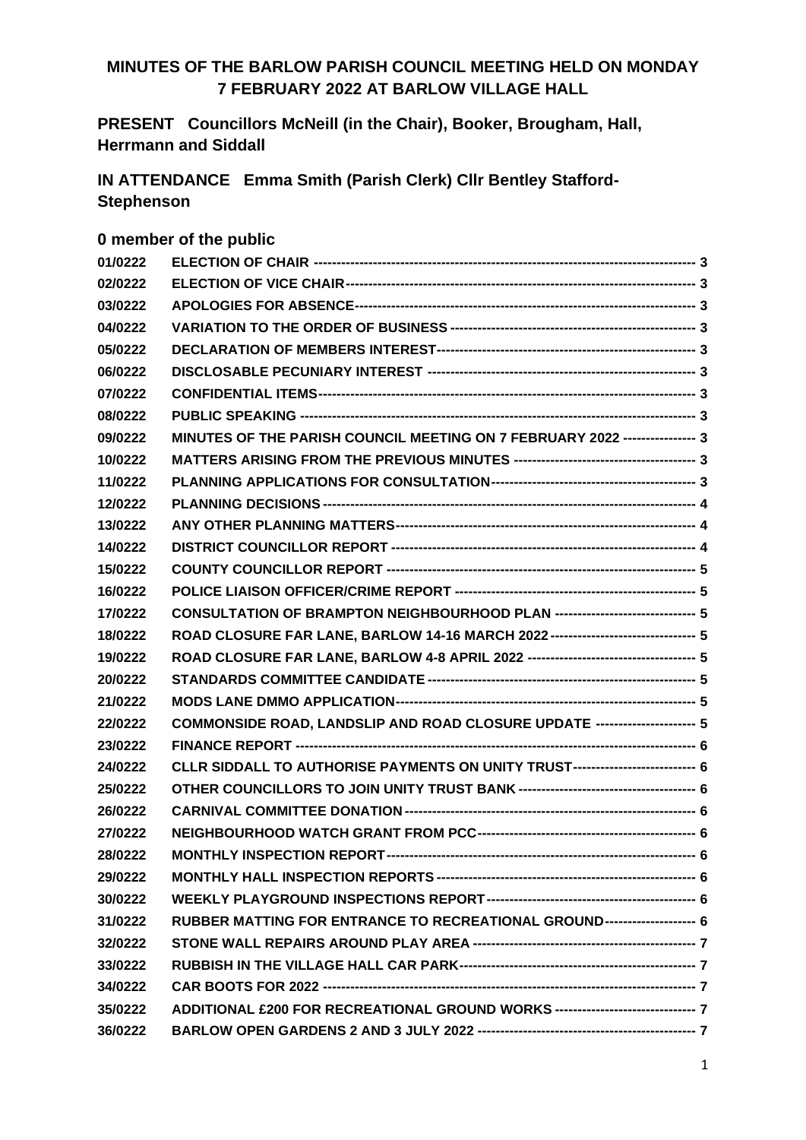# **MINUTES OF THE BARLOW PARISH COUNCIL MEETING HELD ON MONDAY 7 FEBRUARY 2022 AT BARLOW VILLAGE HALL**

**PRESENT Councillors McNeill (in the Chair), Booker, Brougham, Hall, Herrmann and Siddall**

**IN ATTENDANCE Emma Smith (Parish Clerk) Cllr Bentley Stafford-Stephenson**

# **0 member of the public**

| 01/0222 |                                                                                   |  |
|---------|-----------------------------------------------------------------------------------|--|
| 02/0222 |                                                                                   |  |
| 03/0222 |                                                                                   |  |
| 04/0222 |                                                                                   |  |
| 05/0222 |                                                                                   |  |
| 06/0222 |                                                                                   |  |
| 07/0222 |                                                                                   |  |
| 08/0222 |                                                                                   |  |
| 09/0222 | MINUTES OF THE PARISH COUNCIL MEETING ON 7 FEBRUARY 2022 ---------------- 3       |  |
| 10/0222 |                                                                                   |  |
| 11/0222 |                                                                                   |  |
| 12/0222 |                                                                                   |  |
| 13/0222 |                                                                                   |  |
| 14/0222 |                                                                                   |  |
| 15/0222 |                                                                                   |  |
| 16/0222 |                                                                                   |  |
| 17/0222 | CONSULTATION OF BRAMPTON NEIGHBOURHOOD PLAN ----------------------------- 5       |  |
| 18/0222 | ROAD CLOSURE FAR LANE, BARLOW 14-16 MARCH 2022------------------------------- 5   |  |
| 19/0222 |                                                                                   |  |
| 20/0222 |                                                                                   |  |
| 21/0222 |                                                                                   |  |
| 22/0222 | COMMONSIDE ROAD, LANDSLIP AND ROAD CLOSURE UPDATE --------------------- 5         |  |
| 23/0222 |                                                                                   |  |
| 24/0222 | CLLR SIDDALL TO AUTHORISE PAYMENTS ON UNITY TRUST--------------------------- 6    |  |
| 25/0222 |                                                                                   |  |
| 26/0222 |                                                                                   |  |
| 27/0222 |                                                                                   |  |
| 28/0222 |                                                                                   |  |
| 29/0222 |                                                                                   |  |
| 30/0222 |                                                                                   |  |
| 31/0222 | RUBBER MATTING FOR ENTRANCE TO RECREATIONAL GROUND------------------- 6           |  |
| 32/0222 |                                                                                   |  |
| 33/0222 |                                                                                   |  |
| 34/0222 |                                                                                   |  |
| 35/0222 | ADDITIONAL £200 FOR RECREATIONAL GROUND WORKS --------------------------------- 7 |  |
| 36/0222 |                                                                                   |  |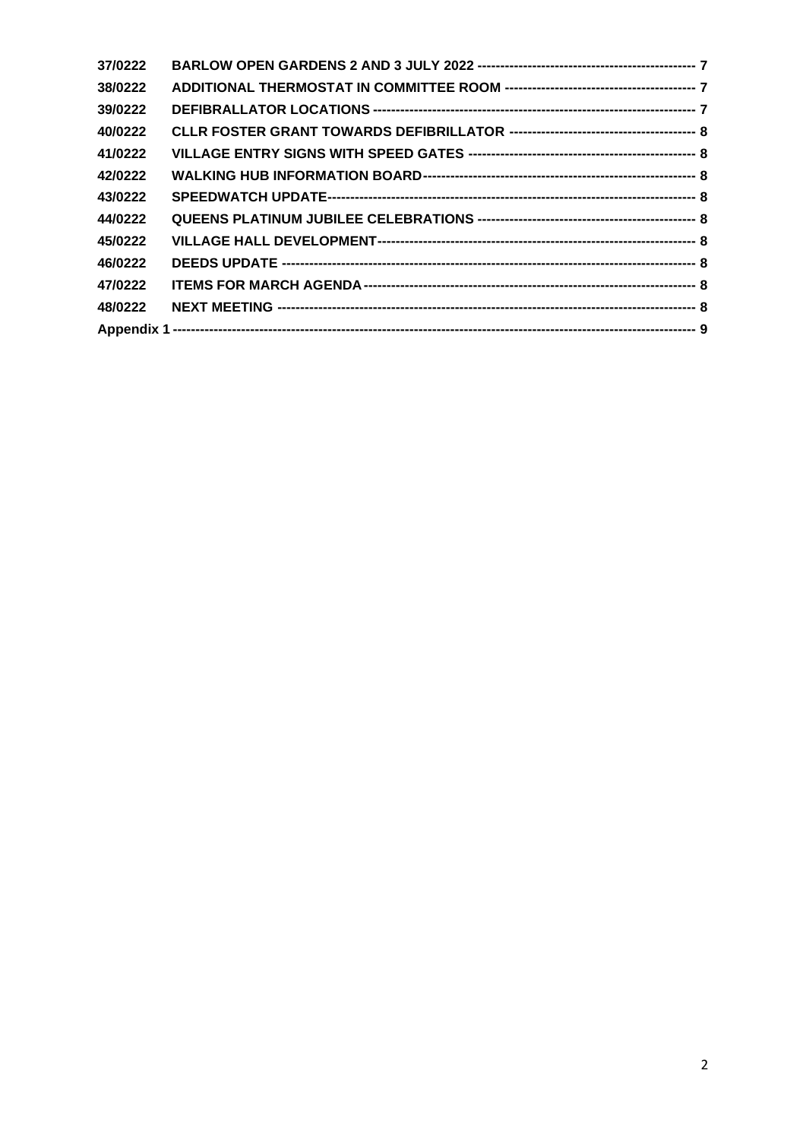| 37/0222 |  |
|---------|--|
| 38/0222 |  |
| 39/0222 |  |
| 40/0222 |  |
| 41/0222 |  |
| 42/0222 |  |
| 43/0222 |  |
| 44/0222 |  |
| 45/0222 |  |
| 46/0222 |  |
| 47/0222 |  |
| 48/0222 |  |
|         |  |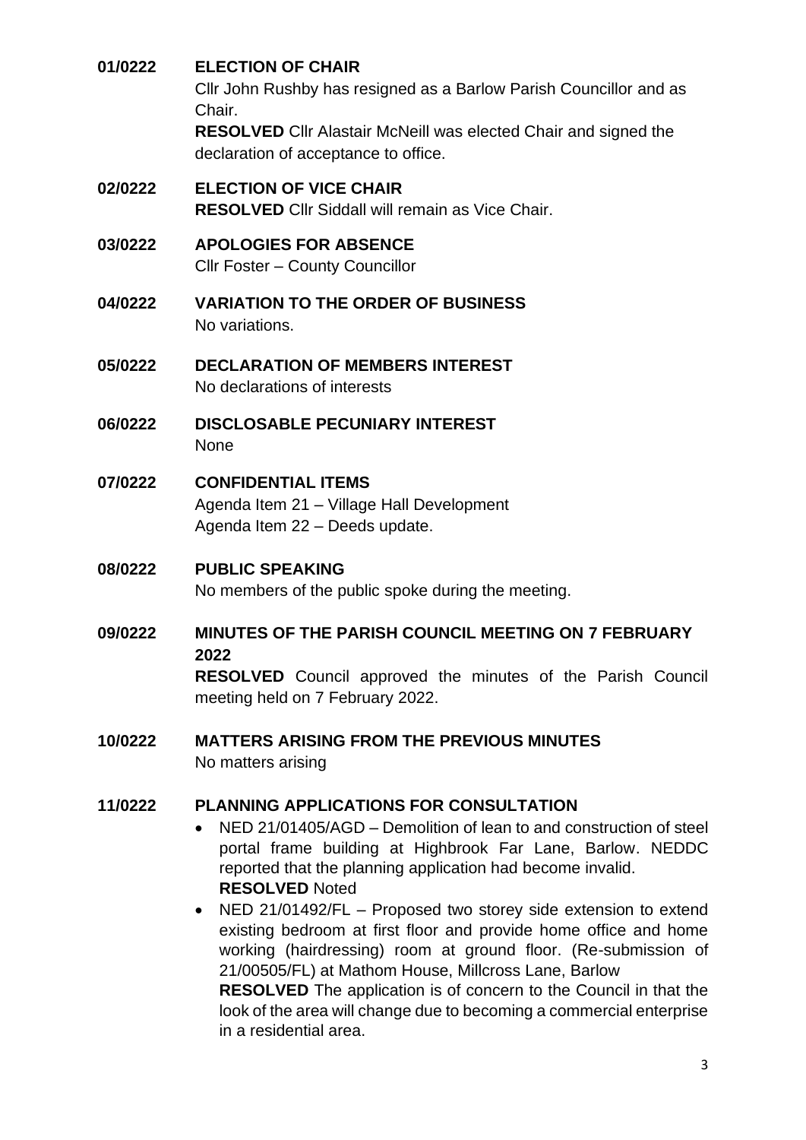#### <span id="page-2-0"></span>**01/0222 ELECTION OF CHAIR**

Cllr John Rushby has resigned as a Barlow Parish Councillor and as Chair.

**RESOLVED** Cllr Alastair McNeill was elected Chair and signed the declaration of acceptance to office.

- <span id="page-2-1"></span>**02/0222 ELECTION OF VICE CHAIR RESOLVED** Cllr Siddall will remain as Vice Chair.
- <span id="page-2-2"></span>**03/0222 APOLOGIES FOR ABSENCE**

Cllr Foster – County Councillor

- <span id="page-2-3"></span>**04/0222 VARIATION TO THE ORDER OF BUSINESS** No variations.
- <span id="page-2-4"></span>**05/0222 DECLARATION OF MEMBERS INTEREST** No declarations of interests
- <span id="page-2-5"></span>**06/0222 DISCLOSABLE PECUNIARY INTEREST** None
- <span id="page-2-6"></span>**07/0222 CONFIDENTIAL ITEMS** Agenda Item 21 – Village Hall Development Agenda Item 22 – Deeds update.

# <span id="page-2-7"></span>**08/0222 PUBLIC SPEAKING**

No members of the public spoke during the meeting.

<span id="page-2-8"></span>**09/0222 MINUTES OF THE PARISH COUNCIL MEETING ON 7 FEBRUARY 2022**

**RESOLVED** Council approved the minutes of the Parish Council meeting held on 7 February 2022.

<span id="page-2-9"></span>**10/0222 MATTERS ARISING FROM THE PREVIOUS MINUTES**  No matters arising

#### <span id="page-2-10"></span>**11/0222 PLANNING APPLICATIONS FOR CONSULTATION**

- NED 21/01405/AGD Demolition of lean to and construction of steel portal frame building at Highbrook Far Lane, Barlow. NEDDC reported that the planning application had become invalid. **RESOLVED** Noted
- NED 21/01492/FL Proposed two storey side extension to extend existing bedroom at first floor and provide home office and home working (hairdressing) room at ground floor. (Re-submission of 21/00505/FL) at Mathom House, Millcross Lane, Barlow **RESOLVED** The application is of concern to the Council in that the look of the area will change due to becoming a commercial enterprise in a residential area.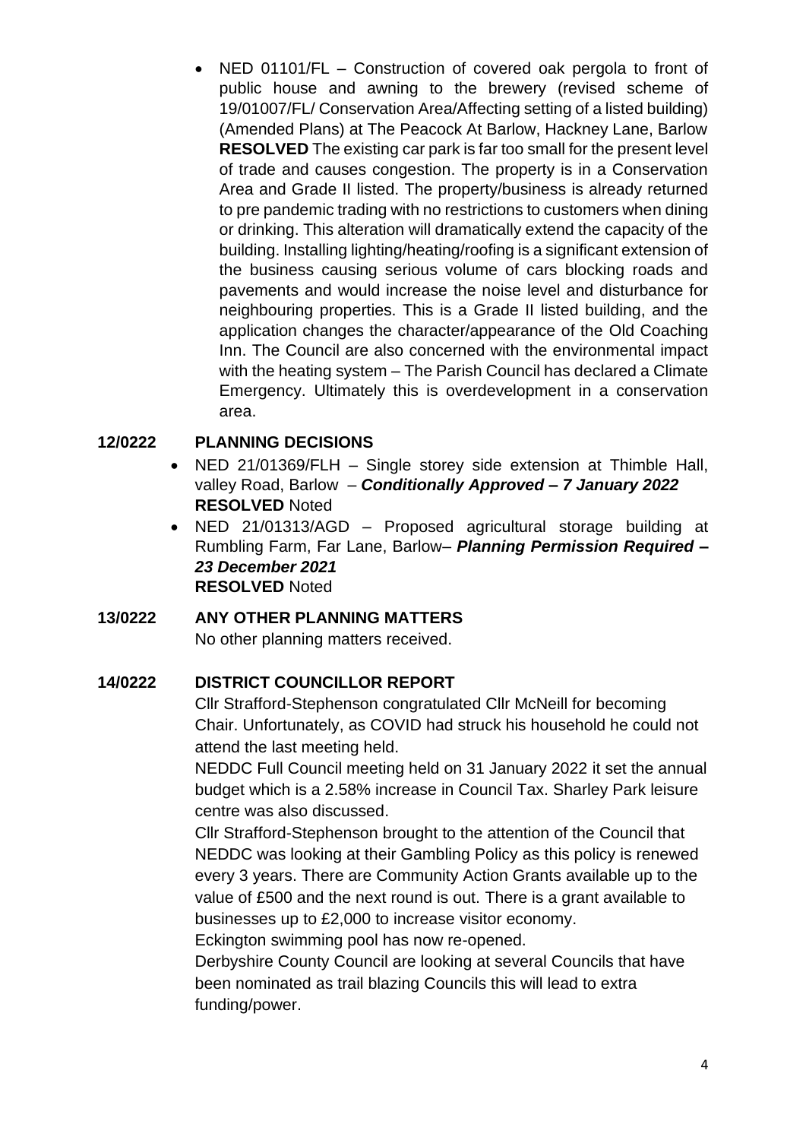• NED 01101/FL – Construction of covered oak pergola to front of public house and awning to the brewery (revised scheme of 19/01007/FL/ Conservation Area/Affecting setting of a listed building) (Amended Plans) at The Peacock At Barlow, Hackney Lane, Barlow **RESOLVED** The existing car park is far too small for the present level of trade and causes congestion. The property is in a Conservation Area and Grade II listed. The property/business is already returned to pre pandemic trading with no restrictions to customers when dining or drinking. This alteration will dramatically extend the capacity of the building. Installing lighting/heating/roofing is a significant extension of the business causing serious volume of cars blocking roads and pavements and would increase the noise level and disturbance for neighbouring properties. This is a Grade II listed building, and the application changes the character/appearance of the Old Coaching Inn. The Council are also concerned with the environmental impact with the heating system – The Parish Council has declared a Climate Emergency. Ultimately this is overdevelopment in a conservation area.

# <span id="page-3-0"></span>**12/0222 PLANNING DECISIONS**

- NED 21/01369/FLH Single storey side extension at Thimble Hall, valley Road, Barlow – *Conditionally Approved – 7 January 2022* **RESOLVED** Noted
- NED 21/01313/AGD Proposed agricultural storage building at Rumbling Farm, Far Lane, Barlow– *Planning Permission Required – 23 December 2021* **RESOLVED** Noted

#### <span id="page-3-1"></span>**13/0222 ANY OTHER PLANNING MATTERS**

No other planning matters received.

# <span id="page-3-2"></span>**14/0222 DISTRICT COUNCILLOR REPORT**

Cllr Strafford-Stephenson congratulated Cllr McNeill for becoming Chair. Unfortunately, as COVID had struck his household he could not attend the last meeting held.

NEDDC Full Council meeting held on 31 January 2022 it set the annual budget which is a 2.58% increase in Council Tax. Sharley Park leisure centre was also discussed.

Cllr Strafford-Stephenson brought to the attention of the Council that NEDDC was looking at their Gambling Policy as this policy is renewed every 3 years. There are Community Action Grants available up to the value of £500 and the next round is out. There is a grant available to businesses up to £2,000 to increase visitor economy.

Eckington swimming pool has now re-opened.

Derbyshire County Council are looking at several Councils that have been nominated as trail blazing Councils this will lead to extra funding/power.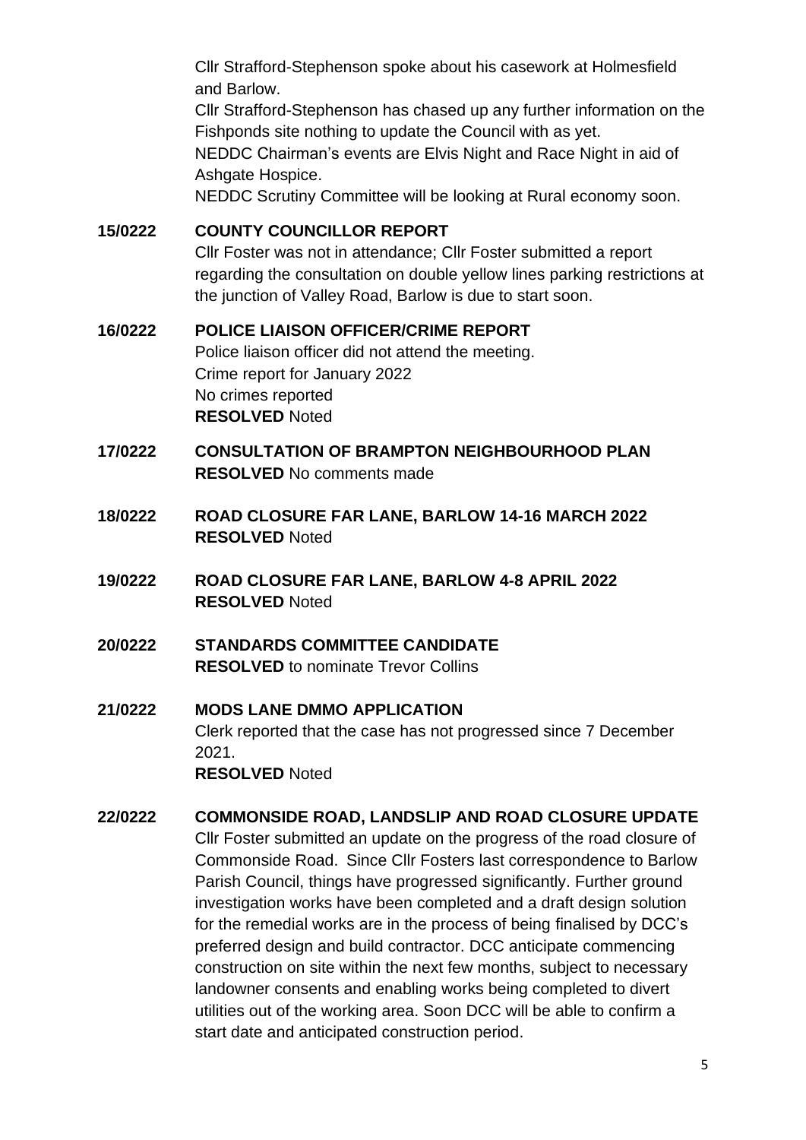Cllr Strafford-Stephenson spoke about his casework at Holmesfield and Barlow.

Cllr Strafford-Stephenson has chased up any further information on the Fishponds site nothing to update the Council with as yet.

NEDDC Chairman's events are Elvis Night and Race Night in aid of Ashgate Hospice.

NEDDC Scrutiny Committee will be looking at Rural economy soon.

# <span id="page-4-0"></span>**15/0222 COUNTY COUNCILLOR REPORT**

Cllr Foster was not in attendance; Cllr Foster submitted a report regarding the consultation on double yellow lines parking restrictions at the junction of Valley Road, Barlow is due to start soon.

#### <span id="page-4-1"></span>**16/0222 POLICE LIAISON OFFICER/CRIME REPORT**

Police liaison officer did not attend the meeting. Crime report for January 2022 No crimes reported **RESOLVED** Noted

# <span id="page-4-2"></span>**17/0222 CONSULTATION OF BRAMPTON NEIGHBOURHOOD PLAN RESOLVED** No comments made

- <span id="page-4-3"></span>**18/0222 ROAD CLOSURE FAR LANE, BARLOW 14-16 MARCH 2022 RESOLVED** Noted
- <span id="page-4-4"></span>**19/0222 ROAD CLOSURE FAR LANE, BARLOW 4-8 APRIL 2022 RESOLVED** Noted
- <span id="page-4-5"></span>**20/0222 STANDARDS COMMITTEE CANDIDATE RESOLVED** to nominate Trevor Collins
- <span id="page-4-6"></span>**21/0222 MODS LANE DMMO APPLICATION** Clerk reported that the case has not progressed since 7 December 2021. **RESOLVED** Noted

# <span id="page-4-7"></span>**22/0222 COMMONSIDE ROAD, LANDSLIP AND ROAD CLOSURE UPDATE** Cllr Foster submitted an update on the progress of the road closure of Commonside Road. Since Cllr Fosters last correspondence to Barlow Parish Council, things have progressed significantly. Further ground investigation works have been completed and a draft design solution for the remedial works are in the process of being finalised by DCC's preferred design and build contractor. DCC anticipate commencing construction on site within the next few months, subject to necessary landowner consents and enabling works being completed to divert utilities out of the working area. Soon DCC will be able to confirm a start date and anticipated construction period.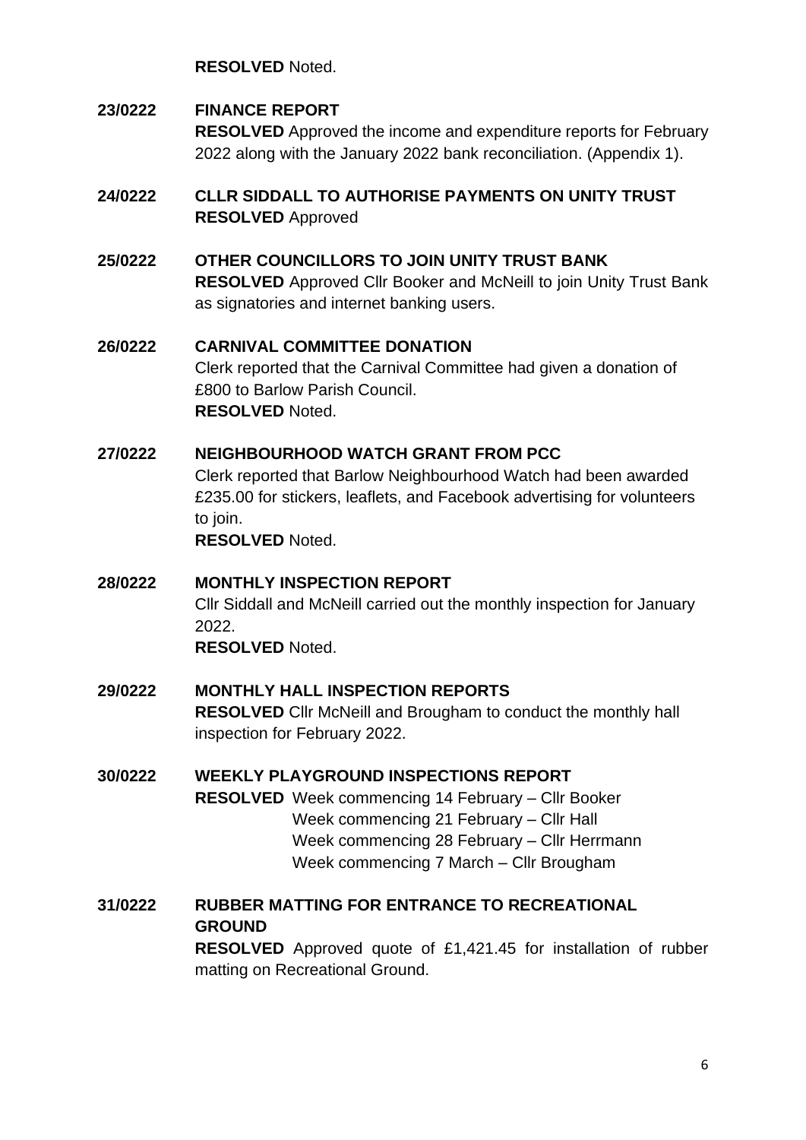**RESOLVED** Noted.

# <span id="page-5-0"></span>**23/0222 FINANCE REPORT RESOLVED** Approved the income and expenditure reports for February 2022 along with the January 2022 bank reconciliation. (Appendix 1).

# <span id="page-5-1"></span>**24/0222 CLLR SIDDALL TO AUTHORISE PAYMENTS ON UNITY TRUST RESOLVED** Approved

# <span id="page-5-2"></span>**25/0222 OTHER COUNCILLORS TO JOIN UNITY TRUST BANK**

**RESOLVED** Approved Cllr Booker and McNeill to join Unity Trust Bank as signatories and internet banking users.

#### <span id="page-5-3"></span>**26/0222 CARNIVAL COMMITTEE DONATION** Clerk reported that the Carnival Committee had given a donation of £800 to Barlow Parish Council. **RESOLVED** Noted.

# <span id="page-5-4"></span>**27/0222 NEIGHBOURHOOD WATCH GRANT FROM PCC**

Clerk reported that Barlow Neighbourhood Watch had been awarded £235.00 for stickers, leaflets, and Facebook advertising for volunteers to join.

**RESOLVED** Noted.

#### <span id="page-5-5"></span>**28/0222 MONTHLY INSPECTION REPORT**

Cllr Siddall and McNeill carried out the monthly inspection for January 2022.

**RESOLVED** Noted.

#### <span id="page-5-6"></span>**29/0222 MONTHLY HALL INSPECTION REPORTS**

**RESOLVED** Cllr McNeill and Brougham to conduct the monthly hall inspection for February 2022.

#### <span id="page-5-7"></span>**30/0222 WEEKLY PLAYGROUND INSPECTIONS REPORT**

**RESOLVED** Week commencing 14 February – Cllr Booker Week commencing 21 February – Cllr Hall Week commencing 28 February – Cllr Herrmann Week commencing 7 March – Cllr Brougham

# <span id="page-5-8"></span>**31/0222 RUBBER MATTING FOR ENTRANCE TO RECREATIONAL GROUND**

**RESOLVED** Approved quote of £1,421.45 for installation of rubber matting on Recreational Ground.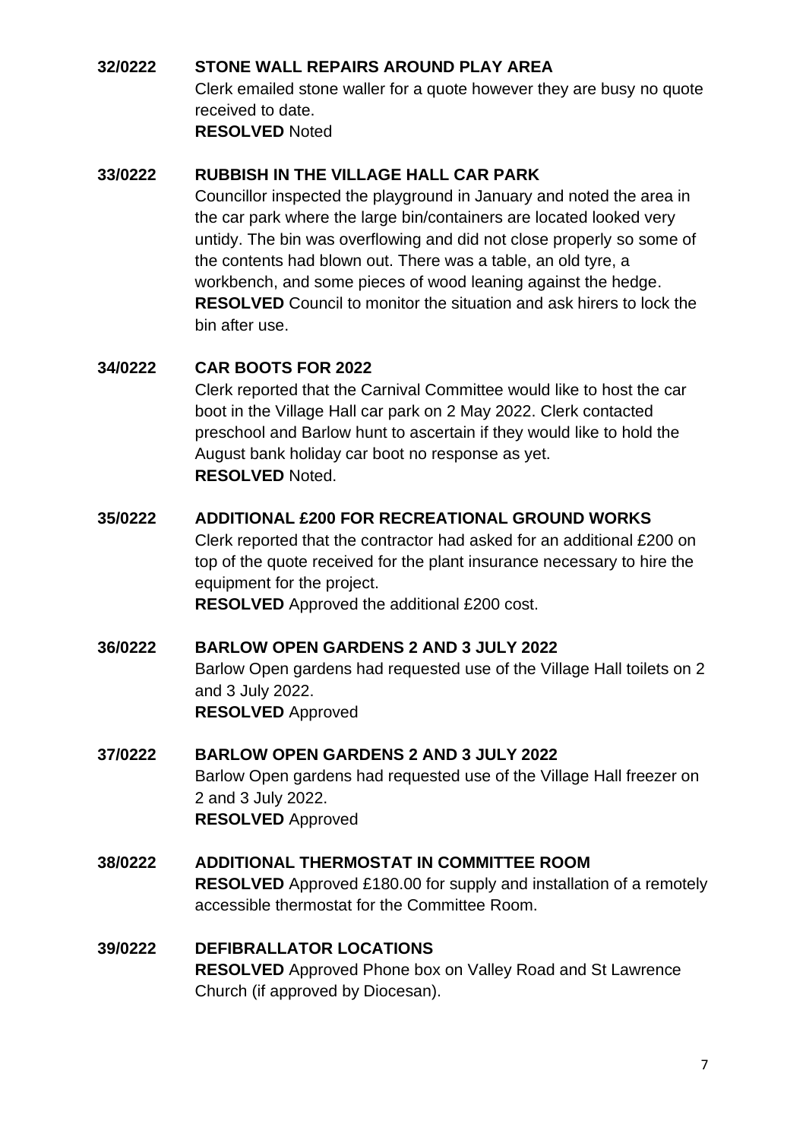#### <span id="page-6-0"></span>**32/0222 STONE WALL REPAIRS AROUND PLAY AREA**

Clerk emailed stone waller for a quote however they are busy no quote received to date. **RESOLVED** Noted

#### <span id="page-6-1"></span>**33/0222 RUBBISH IN THE VILLAGE HALL CAR PARK**

Councillor inspected the playground in January and noted the area in the car park where the large bin/containers are located looked very untidy. The bin was overflowing and did not close properly so some of the contents had blown out. There was a table, an old tyre, a workbench, and some pieces of wood leaning against the hedge. **RESOLVED** Council to monitor the situation and ask hirers to lock the bin after use.

# <span id="page-6-2"></span>**34/0222 CAR BOOTS FOR 2022**

Clerk reported that the Carnival Committee would like to host the car boot in the Village Hall car park on 2 May 2022. Clerk contacted preschool and Barlow hunt to ascertain if they would like to hold the August bank holiday car boot no response as yet. **RESOLVED** Noted.

#### <span id="page-6-3"></span>**35/0222 ADDITIONAL £200 FOR RECREATIONAL GROUND WORKS**

Clerk reported that the contractor had asked for an additional £200 on top of the quote received for the plant insurance necessary to hire the equipment for the project.

**RESOLVED** Approved the additional £200 cost.

#### <span id="page-6-4"></span>**36/0222 BARLOW OPEN GARDENS 2 AND 3 JULY 2022**

Barlow Open gardens had requested use of the Village Hall toilets on 2 and 3 July 2022. **RESOLVED** Approved

#### <span id="page-6-5"></span>**37/0222 BARLOW OPEN GARDENS 2 AND 3 JULY 2022**

Barlow Open gardens had requested use of the Village Hall freezer on 2 and 3 July 2022. **RESOLVED** Approved

#### <span id="page-6-6"></span>**38/0222 ADDITIONAL THERMOSTAT IN COMMITTEE ROOM**

**RESOLVED** Approved £180.00 for supply and installation of a remotely accessible thermostat for the Committee Room.

#### <span id="page-6-7"></span>**39/0222 DEFIBRALLATOR LOCATIONS**

**RESOLVED** Approved Phone box on Valley Road and St Lawrence Church (if approved by Diocesan).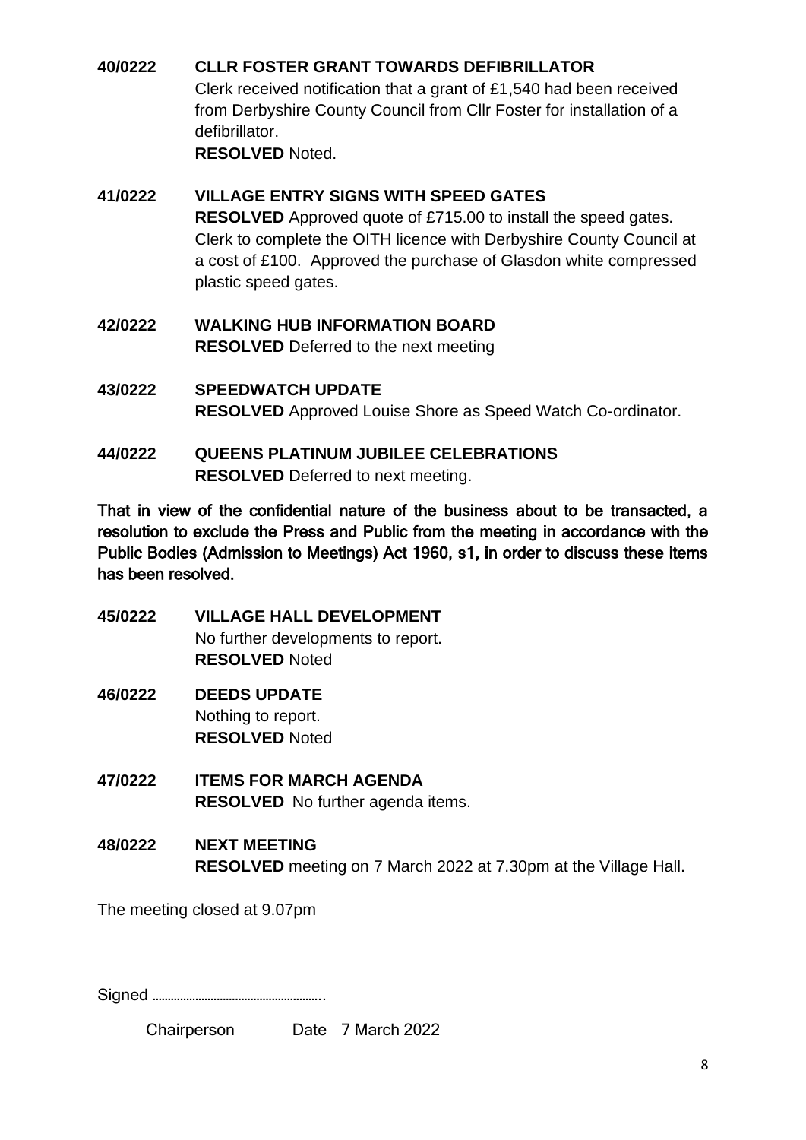# <span id="page-7-0"></span>**40/0222 CLLR FOSTER GRANT TOWARDS DEFIBRILLATOR**

Clerk received notification that a grant of £1,540 had been received from Derbyshire County Council from Cllr Foster for installation of a defibrillator.

**RESOLVED** Noted.

# <span id="page-7-1"></span>**41/0222 VILLAGE ENTRY SIGNS WITH SPEED GATES RESOLVED** Approved quote of £715.00 to install the speed gates. Clerk to complete the OITH licence with Derbyshire County Council at a cost of £100. Approved the purchase of Glasdon white compressed plastic speed gates.

- <span id="page-7-2"></span>**42/0222 WALKING HUB INFORMATION BOARD RESOLVED** Deferred to the next meeting
- <span id="page-7-3"></span>**43/0222 SPEEDWATCH UPDATE RESOLVED** Approved Louise Shore as Speed Watch Co-ordinator.
- <span id="page-7-4"></span>**44/0222 QUEENS PLATINUM JUBILEE CELEBRATIONS RESOLVED** Deferred to next meeting.

That in view of the confidential nature of the business about to be transacted, a resolution to exclude the Press and Public from the meeting in accordance with the Public Bodies (Admission to Meetings) Act 1960, s1, in order to discuss these items has been resolved.

- <span id="page-7-5"></span>**45/0222 VILLAGE HALL DEVELOPMENT** No further developments to report. **RESOLVED** Noted
- <span id="page-7-6"></span>**46/0222 DEEDS UPDATE** Nothing to report. **RESOLVED** Noted
- <span id="page-7-7"></span>**47/0222 ITEMS FOR MARCH AGENDA RESOLVED** No further agenda items.
- <span id="page-7-8"></span>**48/0222 NEXT MEETING RESOLVED** meeting on 7 March 2022 at 7.30pm at the Village Hall.

The meeting closed at 9.07pm

Signed ………………………………………………..

| Chairperson |  | Date 7 March 2022 |
|-------------|--|-------------------|
|-------------|--|-------------------|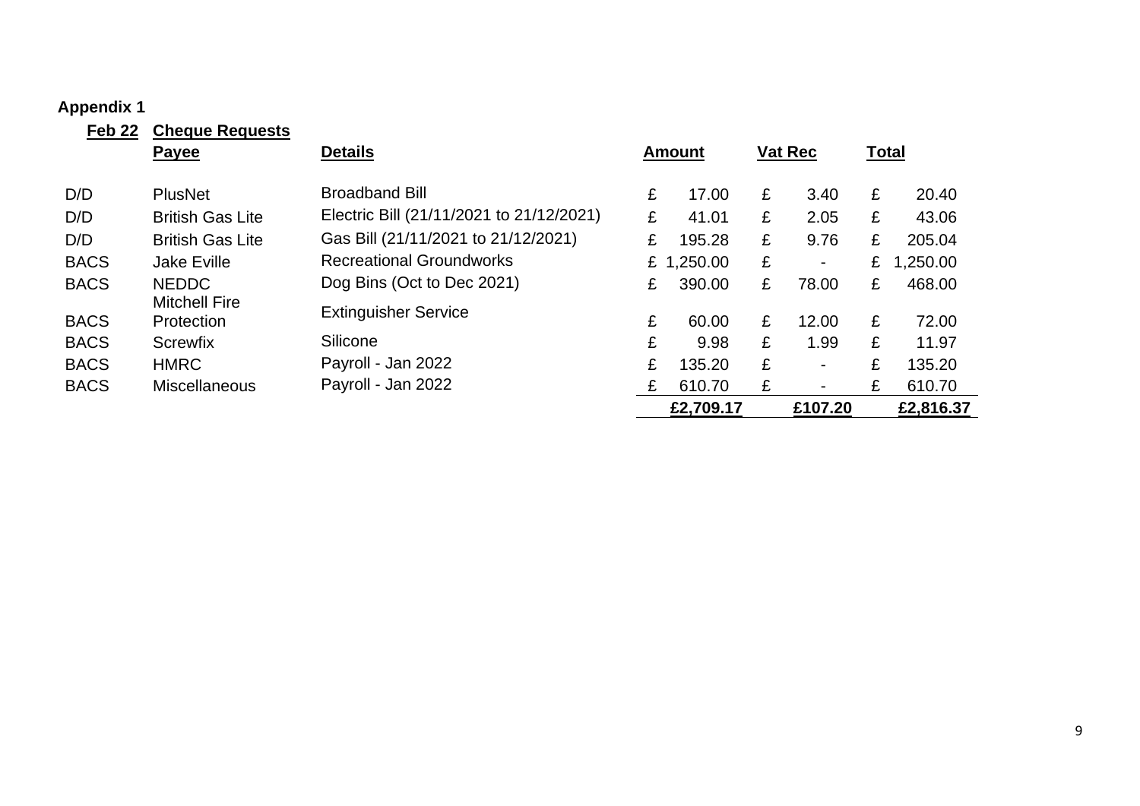# **Appendix 1**

<span id="page-8-0"></span>

| Feb <sub>22</sub> | <b>Cheque Requests</b>             |                                          |   |            |   |                          |   |              |
|-------------------|------------------------------------|------------------------------------------|---|------------|---|--------------------------|---|--------------|
|                   | <b>Payee</b>                       | <b>Details</b>                           |   | Amount     |   | <b>Vat Rec</b>           |   | <u>Total</u> |
| D/D               | <b>PlusNet</b>                     | <b>Broadband Bill</b>                    | £ | 17.00      | £ | 3.40                     | £ | 20.40        |
| D/D               | <b>British Gas Lite</b>            | Electric Bill (21/11/2021 to 21/12/2021) | £ | 41.01      | £ | 2.05                     | £ | 43.06        |
| D/D               | <b>British Gas Lite</b>            | Gas Bill (21/11/2021 to 21/12/2021)      | £ | 195.28     | £ | 9.76                     | £ | 205.04       |
| <b>BACS</b>       | Jake Eville                        | <b>Recreational Groundworks</b>          |   | £ 1,250.00 | £ | ۰.                       | £ | 1,250.00     |
| <b>BACS</b>       | <b>NEDDC</b>                       | Dog Bins (Oct to Dec 2021)               | £ | 390.00     | £ | 78.00                    | £ | 468.00       |
| <b>BACS</b>       | <b>Mitchell Fire</b><br>Protection | <b>Extinguisher Service</b>              | £ | 60.00      | £ | 12.00                    | £ | 72.00        |
| <b>BACS</b>       | <b>Screwfix</b>                    | Silicone                                 | £ | 9.98       | £ | 1.99                     | £ | 11.97        |
| <b>BACS</b>       | <b>HMRC</b>                        | Payroll - Jan 2022                       | £ | 135.20     | £ | $\overline{\phantom{0}}$ | £ | 135.20       |
| <b>BACS</b>       | <b>Miscellaneous</b>               | Payroll - Jan 2022                       | £ | 610.70     | £ | $\overline{\phantom{a}}$ | £ | 610.70       |
|                   |                                    |                                          |   | £2,709.17  |   | £107.20                  |   | £2,816.37    |